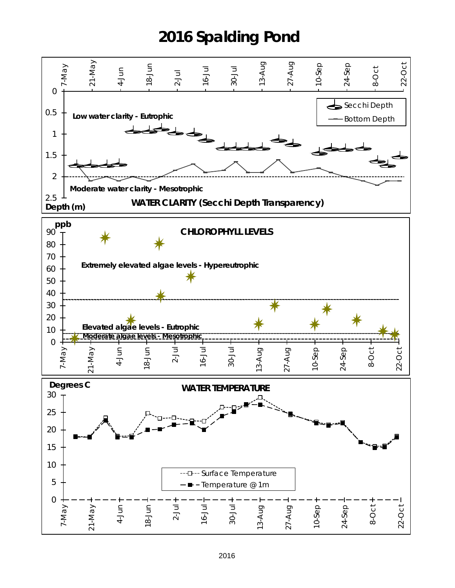## **2016 Spalding Pond**